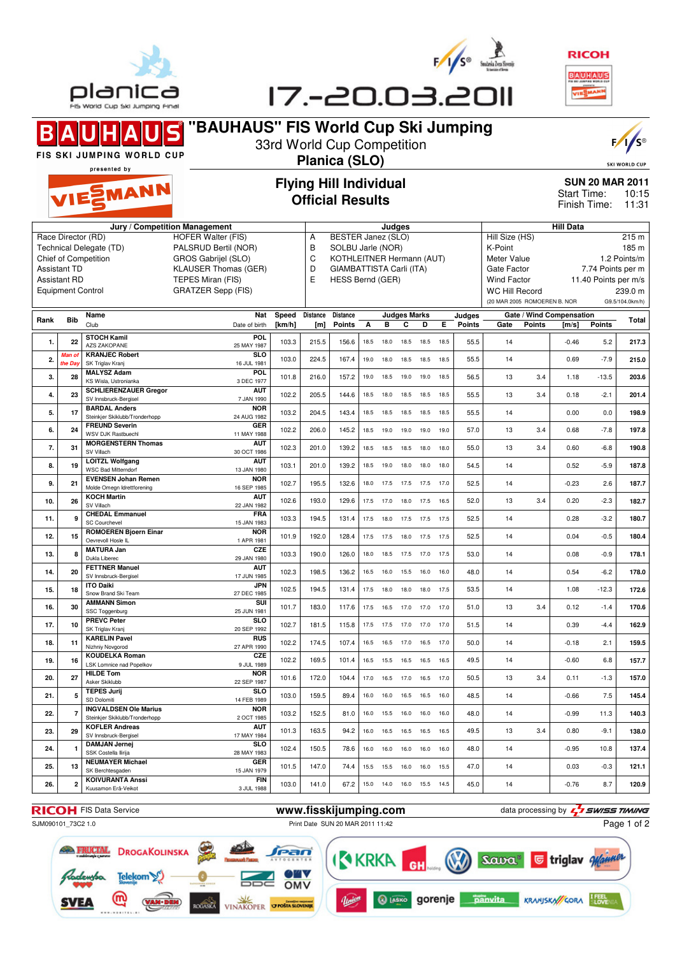





#### **"BAUHAUS" FIS World Cup Ski Jumping** S 33rd World Cup Competition FIS SKI JUMPING WORLD CUP **Planica (SLO)** SKI WORLD CUP presented by **Flying Hill Individual SUN 20 MAR 2011** EMANN Start Time: 10:15 **Official Results** Finish Time: 11:31 **Jury / Competition Management Judges Hill Data** A BESTER Janez (SLO) Hill Size (HS) 215 m Race Director (RD) HOFFR Walter (FIS) Technical Delegate (TD) PALSRUD Bertil (NOR) B SOLBU Jarle (NOR) K-Point 185 m Chief of Competition GROS Gabrijel (SLO) C KOTHLEITNER Hermann (AUT) Meter Value 1.2 Points/m Assistant TD KLAUSER Thomas (GER) D GIAMBATTISTA Carli (ITA) Gate Factor 7.74 Points per m Assistant RD TEPES Miran (FIS)<br>Equipment Control GRATZER Sepp (F E HESS Bernd (GER) Wind Factor 11.40 Points per m/s<br>WC Hill Record 239.0 m GRATZER Sepp (FIS) WC Hill Record (20 MAR 2005 ROMOEREN B. NOR G9.5/104.0km/h) **Rank Bib Name Judges Marks Judges Nat Speed Distance Distance Gate / Wind Compensation Gate Points [m/s] Points Total** Club **Points** Date of birth **[km/h] [m] Points A B C D E 1.** 22 **STOCH Kamil POL** 25 MAY 1987 103.3 215.5 156.6 18.5 18.0 18.5 18.5 18.5 55.5 14 -0.46 5.2 **217.3** AZS ZAKOPANE **2.** *Man of* **KRANJEC Robert**<br>*the Day* SK Triglay Krani **SLO Man of the Day** 103.0 224.5 167.4 19.0 18.0 18.5 18.5 18.5 55.5 14 0.69 -7.9 **215.0** SK Triglav Kranj 16 JUL 1981 **3. 28 MALYSZ Adam POL**<br>3 DEC 1977 3 DEC 1977 101.8 216.0 157.2 19.0 18.5 19.0 19.0 18.5 56.5 13 3.4 1.18 -13.5 **203.6** KS Wisla, Ustronianka **4. 23 SCHLIERENZAUER Gregor AUT**<br>7 JAN 1990 7 JAN 1990 102.2 205.5 144.6 18.5 18.0 18.5 18.5 18.5 55.5 13 3.4 0.18 -2.1 **201.4** SV Innsbruck-Bergise **BARDAL Anders NOR**<br>24 AUG 1982 **5. 17** Steinkjer Skiklubb/Tronderhopp 24 AUG 1982 103.2 204.5 143.4 18.5 18.5 18.5 18.5 18.5 55.5 14 0.00 0.0 **198.9 6. 24 FREUND Severin GER**<br>11 MAY 1988 11 MAY 1988 102.2 206.0 145.2 18.5 19.0 19.0 19.0 19.0 57.0 13 3.4 0.68 -7.8 **197.8** WSV DJK Rastbuechl **7. 31 MORGENSTERN Thomas AUT**<br>30 OCT 1986 30 OCT 1986 102.3 201.0 139.2 18.5 18.5 18.5 18.0 18.0 55.0 13 3.4 0.60 -6.8 **190.8** SV Villac **8. 19 LOITZL Wolfgang AUT**<br>13 JAN 1980 13 JAN 1980 103.1 201.0 139.2 18.5 19.0 18.0 18.0 18.0 54.5 14 0.52 -5.9 **187.8** WSC Bad Mitterndor **9. 21 EVENSEN Johan Remen NOR**<br>16 SEP 1985 1**6 SEP 1985** 102.7 195.5 132.6 18.0 17.5 17.5 17.5 17.0 52.5 14 -0.23 2.6 1**87.7**<br>16 SEP 1985 Molde Omegn Idrettforening **10. 26 KOCH Martin AUT**<br>22.JAN 1982 22 JAN 1982 102.6 193.0 129.6 17.5 17.0 18.0 17.5 16.5 52.0 13 3.4 0.20 -2.3 **182.7** SV Villach **11. 9 CHEDAL Emmanuel FRA**<br>15 JAN 1983 15 JAN 1983 103.3 194.5 131.4 17.5 18.0 17.5 17.5 17.5 52.5 14 0.28 -3.2 **180.7** SC Courcheve **12. 15 ROMOEREN Bjoern Einar NOR** 1 APR 1981 101.9 192.0 128.4 17.5 17.5 18.0 17.5 17.5 52.5 14 0.04 -0.5 **180.4** Oevrevoll Hosle IL **13. 8 MATURA Jan** CZE<br><sup>29.IAN 1980</sup> 29 JAN 1980 103.3 190.0 126.0 18.0 18.5 17.5 17.0 17.5 53.0 14 0.08 -0.9 **178.1 FETTNER Manuel AUT 14. 20 FETTNER Manuel** SV Innsbruck-Bergisel 17 JUN 1985 102.3 198.5 136.2 16.5 16.0 15.5 16.0 16.0 48.0 14 0.54 -6.2 **178.0 JPN**<br>27 DEC 1985 **15.** 18 **ITO Daiki**<br>
Snow Brand Ski Team 27 DEC 1985 102.5 194.5 131.4 17.5 18.0 18.0 18.0 17.5 53.5 14 1.08 -12.3 **172.6 16. 30 AMMANN Simon SUI** 25 JUN 1981 101.7 183.0 117.6 17.5 16.5 17.0 17.0 17.0 51.0 13 3.4 0.12 -1.4 **170.6** SSC Toggenburg **17. 10 PREVC Peter SLO** 20 SEP 1992 102.7 181.5 115.8 17.5 17.5 17.0 17.0 17.0 51.5 14 0.39 -4.4 **162.9** SK Triglav Kranj **18. 11 KARELIN Pavel RUS**<br>27 APR 1990 27 APR 1990 102.2 174.5 107.4 16.5 16.5 17.0 16.5 17.0 50.0 14 -0.18 2.1 **159.5** w<sub>a</sub> **CZE**<br>9.JUL 1989 **19. 16 KOUDELKA Roman** LSK Lomnice nad Popelkov 9 JUL 1989 102.2 169.5 101.4 16.5 15.5 16.5 16.5 16.5 49.5 14 -0.60 6.8 **157.7 20. 27 HILDE Tom NOR**<br>22 SEP 1987 22 SEP 1987 101.6 172.0 104.4 17.0 16.5 17.0 16.5 17.0 50.5 13 3.4 0.11 -1.3 **157.0** Asker Skiklubb **21. 5 TEPES Jurij SLO**<br>14 FEB 1989 14 FEB 1989 103.0 159.5 89.4 16.0 16.0 16.5 16.5 16.0 48.5 14 -0.66 7.5 **145.4** SD Dolomiti **22. 7 INGVALDSEN Ole Marius NOR** 2 OCT 1985 103.2 152.5 81.0 16.0 15.5 16.0 16.0 16.0 48.0 14 -0.99 11.3 **140.3** Steinkier Skiklubb/Tronderhopp **23. 29 KOFLER Andreas AUT** 17 MAY 1984 101.3 163.5 94.2 16.0 16.5 16.5 16.5 16.5 49.5 13 3.4 0.80 -9.1 **138.0** SV Innsbruck-Bergise **SLO**<br>28 MAY 1983 **24. 1 DAMJAN Jernej** SSK Costella Ilirija 28 MAY 1983 102.4 150.5 78.6 16.0 16.0 16.0 16.0 16.0 48.0 14 -0.95 10.8 **137.4 25.** 13 NEUMAYER Michael **GER** 15 JAN 1979 101.5 147.0 74.4 15.5 15.5 16.0 16.0 15.5 47.0 14 0.03 -0.3 **121.1** SK Bercht **26. 2 KOIVURANTA Anssi FIN**<br>3 JUL 1988 3 JUL 1988 103.0 141.0 67.2 15.0 14.0 16.0 15.5 14.5 45.0 14 -0.76 8.7 **120.9** Kuusamon Erä-Veikot

SJM090101\_73C2 1.0 Print Date SUN 20 MAR 2011 11:42

**RICOH** FIS Data Service **www.fisskijumping.com** data processing by  $\frac{7}{2}$  **SWISS TIMING** Page 1 of 2

**DROGAKOLINSKA** ean AW V Telekom OMV സ്ര **SVEA** ROGASKA VINAKOPER **OPOSTA SLOVENIE**